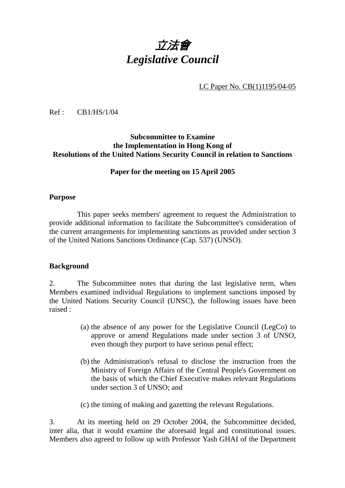# 立法會 *Legislative Council*

LC Paper No. CB(1)1195/04-05

Ref : CB1/HS/1/04

#### **Subcommittee to Examine the Implementation in Hong Kong of Resolutions of the United Nations Security Council in relation to Sanctions**

#### **Paper for the meeting on 15 April 2005**

#### **Purpose**

1. This paper seeks members' agreement to request the Administration to provide additional information to facilitate the Subcommittee's consideration of the current arrangements for implementing sanctions as provided under section 3 of the United Nations Sanctions Ordinance (Cap. 537) (UNSO).

#### **Background**

2. The Subcommittee notes that during the last legislative term, when Members examined individual Regulations to implement sanctions imposed by the United Nations Security Council (UNSC), the following issues have been raised :

- (a) the absence of any power for the Legislative Council (LegCo) to approve or amend Regulations made under section 3 of UNSO, even though they purport to have serious penal effect;
- (b) the Administration's refusal to disclose the instruction from the Ministry of Foreign Affairs of the Central People's Government on the basis of which the Chief Executive makes relevant Regulations under section 3 of UNSO; and
- (c) the timing of making and gazetting the relevant Regulations.

3. At its meeting held on 29 October 2004, the Subcommittee decided, inter alia, that it would examine the aforesaid legal and constitutional issues. Members also agreed to follow up with Professor Yash GHAI of the Department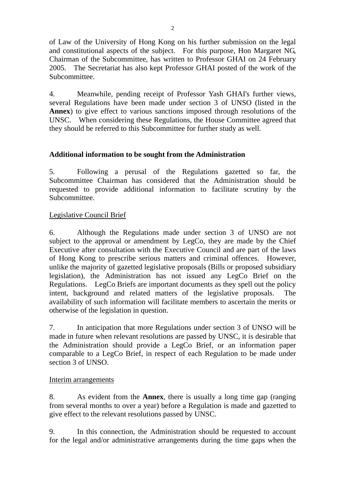of Law of the University of Hong Kong on his further submission on the legal and constitutional aspects of the subject. For this purpose, Hon Margaret NG, Chairman of the Subcommittee, has written to Professor GHAI on 24 February 2005. The Secretariat has also kept Professor GHAI posted of the work of the Subcommittee.

4. Meanwhile, pending receipt of Professor Yash GHAI's further views, several Regulations have been made under section 3 of UNSO (listed in the **Annex**) to give effect to various sanctions imposed through resolutions of the UNSC. When considering these Regulations, the House Committee agreed that they should be referred to this Subcommittee for further study as well.

## **Additional information to be sought from the Administration**

5. Following a perusal of the Regulations gazetted so far, the Subcommittee Chairman has considered that the Administration should be requested to provide additional information to facilitate scrutiny by the Subcommittee.

## Legislative Council Brief

6. Although the Regulations made under section 3 of UNSO are not subject to the approval or amendment by LegCo, they are made by the Chief Executive after consultation with the Executive Council and are part of the laws of Hong Kong to prescribe serious matters and criminal offences. However, unlike the majority of gazetted legislative proposals (Bills or proposed subsidiary legislation), the Administration has not issued any LegCo Brief on the Regulations. LegCo Briefs are important documents as they spell out the policy intent, background and related matters of the legislative proposals. The availability of such information will facilitate members to ascertain the merits or otherwise of the legislation in question.

7. In anticipation that more Regulations under section 3 of UNSO will be made in future when relevant resolutions are passed by UNSC, it is desirable that the Administration should provide a LegCo Brief, or an information paper comparable to a LegCo Brief, in respect of each Regulation to be made under section 3 of UNSO.

## Interim arrangements

8. As evident from the **Annex**, there is usually a long time gap (ranging from several months to over a year) before a Regulation is made and gazetted to give effect to the relevant resolutions passed by UNSC.

9. In this connection, the Administration should be requested to account for the legal and/or administrative arrangements during the time gaps when the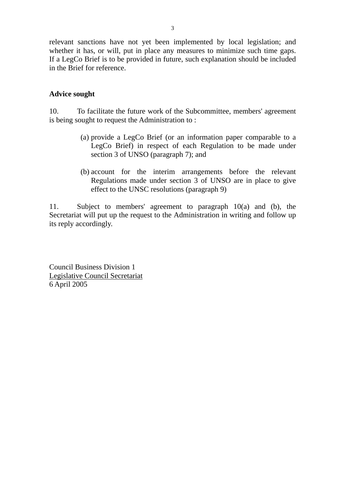relevant sanctions have not yet been implemented by local legislation; and whether it has, or will, put in place any measures to minimize such time gaps. If a LegCo Brief is to be provided in future, such explanation should be included in the Brief for reference.

## **Advice sought**

10. To facilitate the future work of the Subcommittee, members' agreement is being sought to request the Administration to :

- (a) provide a LegCo Brief (or an information paper comparable to a LegCo Brief) in respect of each Regulation to be made under section 3 of UNSO (paragraph 7); and
- (b) account for the interim arrangements before the relevant Regulations made under section 3 of UNSO are in place to give effect to the UNSC resolutions (paragraph 9)

11. Subject to members' agreement to paragraph 10(a) and (b), the Secretariat will put up the request to the Administration in writing and follow up its reply accordingly.

Council Business Division 1 Legislative Council Secretariat 6 April 2005